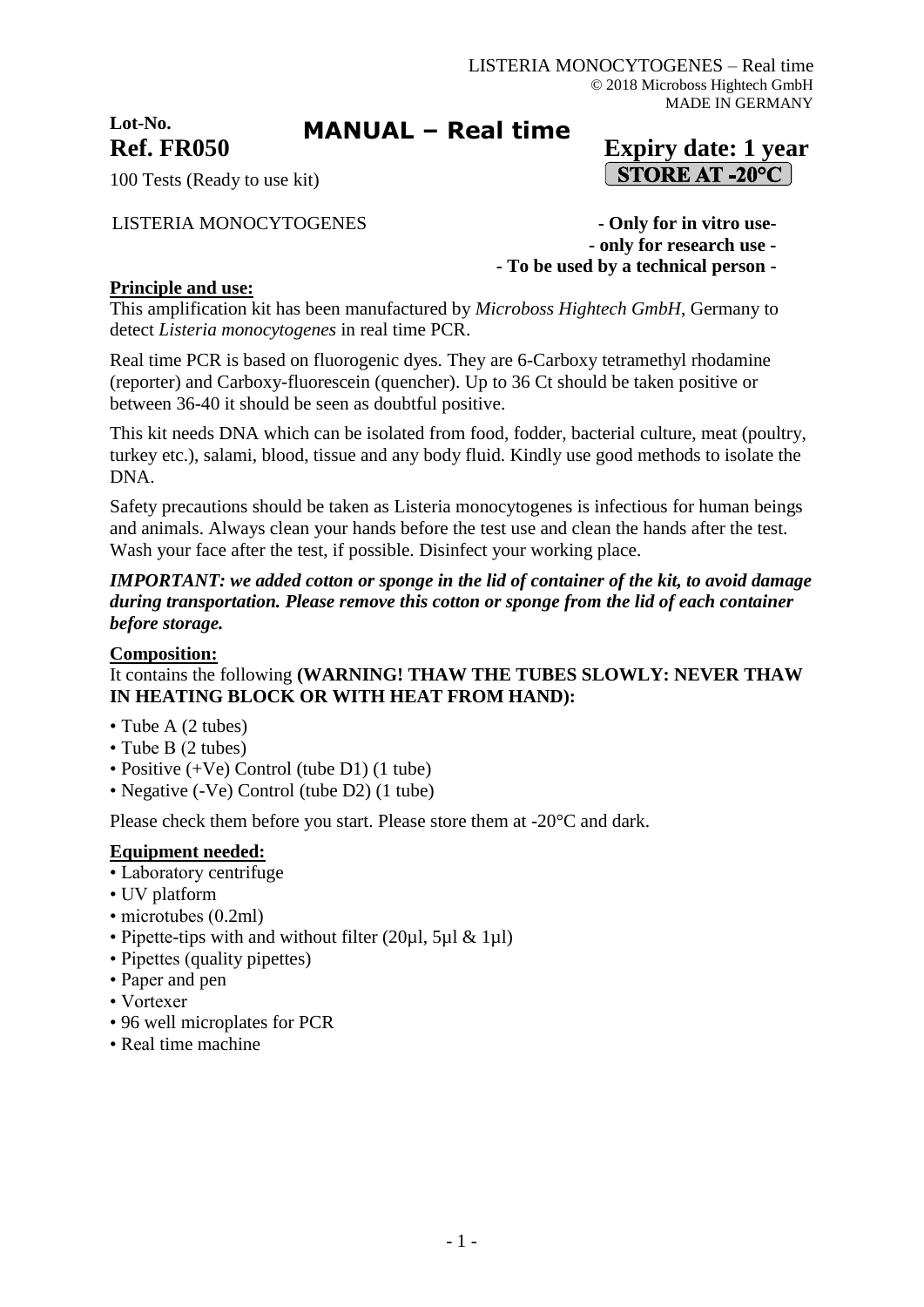**Lot-No.**

# **MANUAL – Real time**

# **Ref. FR050 Expiry date: 1 year STORE AT -20°C**

100 Tests (Ready to use kit)

LISTERIA MONOCYTOGENES **- Only for in vitro use- - only for research use - - To be used by a technical person -**

### **Principle and use:**

This amplification kit has been manufactured by *Microboss Hightech GmbH*, Germany to detect *Listeria monocytogenes* in real time PCR.

Real time PCR is based on fluorogenic dyes. They are 6-Carboxy tetramethyl rhodamine (reporter) and Carboxy-fluorescein (quencher). Up to 36 Ct should be taken positive or between 36-40 it should be seen as doubtful positive.

This kit needs DNA which can be isolated from food, fodder, bacterial culture, meat (poultry, turkey etc.), salami, blood, tissue and any body fluid. Kindly use good methods to isolate the DNA.

Safety precautions should be taken as Listeria monocytogenes is infectious for human beings and animals. Always clean your hands before the test use and clean the hands after the test. Wash your face after the test, if possible. Disinfect your working place.

#### *IMPORTANT: we added cotton or sponge in the lid of container of the kit, to avoid damage during transportation. Please remove this cotton or sponge from the lid of each container before storage.*

#### **Composition:**

## It contains the following **(WARNING! THAW THE TUBES SLOWLY: NEVER THAW IN HEATING BLOCK OR WITH HEAT FROM HAND):**

- Tube A (2 tubes)
- Tube B (2 tubes)
- Positive (+Ve) Control (tube D1) (1 tube)
- Negative (-Ve) Control (tube D2) (1 tube)

Please check them before you start. Please store them at -20°C and dark.

#### **Equipment needed:**

- Laboratory centrifuge
- UV platform
- microtubes (0.2ml)
- Pipette-tips with and without filter (20µl, 5µl & 1µl)
- Pipettes (quality pipettes)
- Paper and pen
- Vortexer
- 96 well microplates for PCR
- Real time machine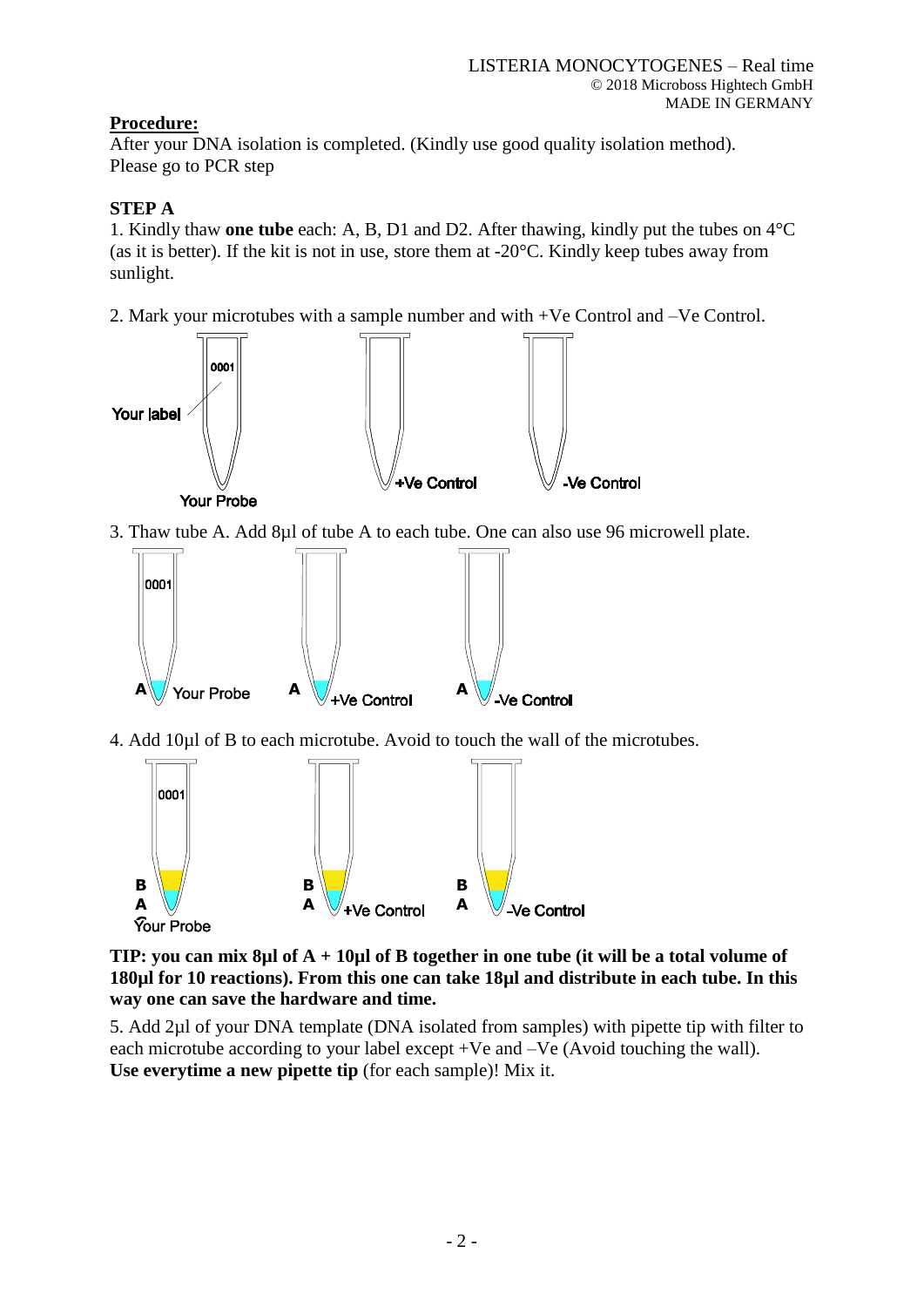## **Procedure:**

After your DNA isolation is completed. (Kindly use good quality isolation method). Please go to PCR step

# **STEP A**

1. Kindly thaw **one tube** each: A, B, D1 and D2. After thawing, kindly put the tubes on 4°C (as it is better). If the kit is not in use, store them at  $-20^{\circ}$ C. Kindly keep tubes away from sunlight.

2. Mark your microtubes with a sample number and with +Ve Control and –Ve Control.



3. Thaw tube A. Add 8µl of tube A to each tube. One can also use 96 microwell plate.



4. Add 10µl of B to each microtube. Avoid to touch the wall of the microtubes.



**TIP: you can mix 8µl of A + 10µl of B together in one tube (it will be a total volume of 180µl for 10 reactions). From this one can take 18µl and distribute in each tube. In this way one can save the hardware and time.**

5. Add 2µl of your DNA template (DNA isolated from samples) with pipette tip with filter to each microtube according to your label except +Ve and –Ve (Avoid touching the wall). **Use everytime a new pipette tip** (for each sample)! Mix it.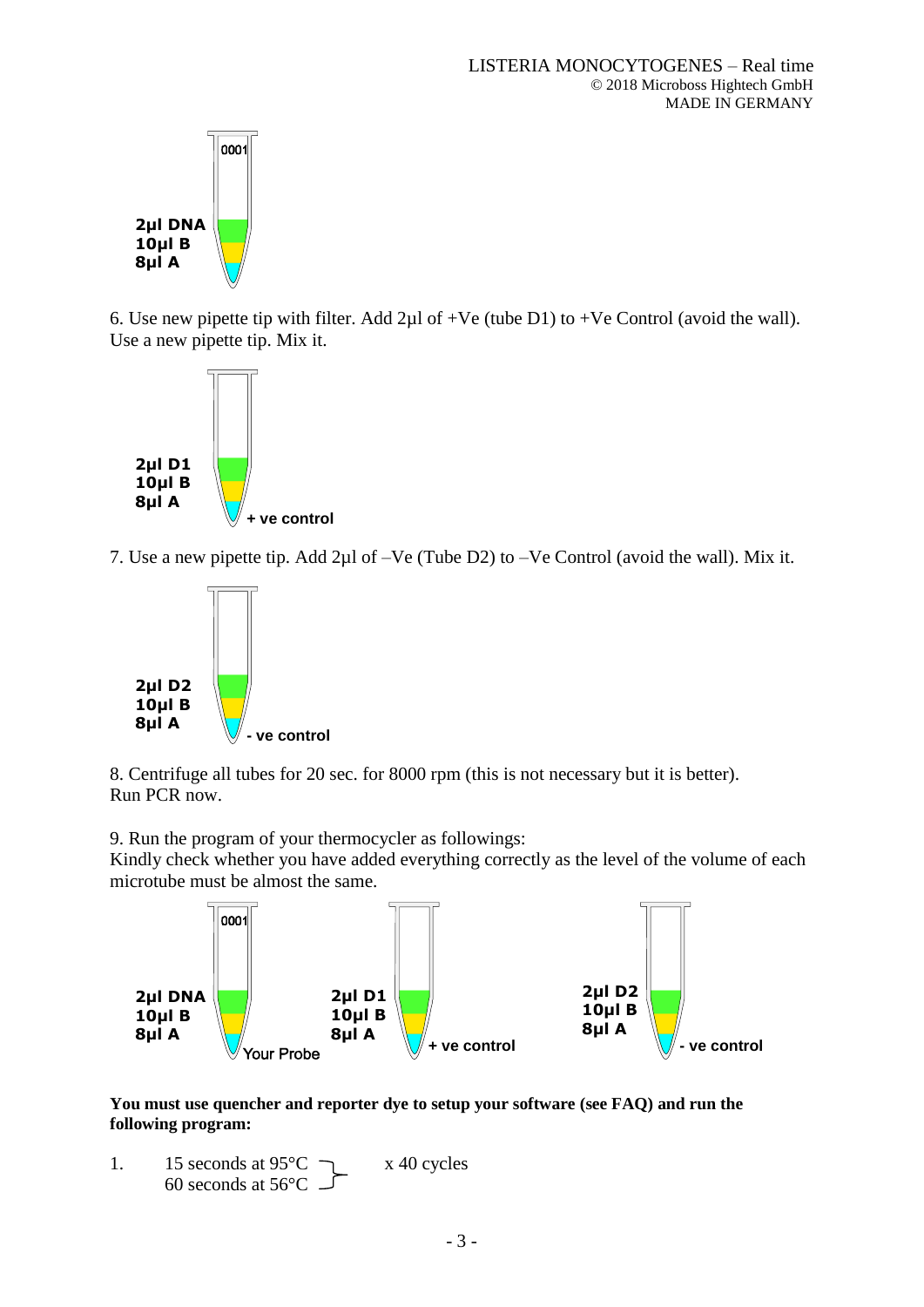

6. Use new pipette tip with filter. Add  $2\mu$ l of +Ve (tube D1) to +Ve Control (avoid the wall). Use a new pipette tip. Mix it.



7. Use a new pipette tip. Add 2µl of –Ve (Tube D2) to –Ve Control (avoid the wall). Mix it.



8. Centrifuge all tubes for 20 sec. for 8000 rpm (this is not necessary but it is better). Run PCR now.

9. Run the program of your thermocycler as followings:

Kindly check whether you have added everything correctly as the level of the volume of each microtube must be almost the same.



**You must use quencher and reporter dye to setup your software (see FAQ) and run the following program:**

1. 15 seconds at  $95^{\circ}$ C  $\qquad \qquad$  x 40 cycles 60 seconds at  $56^{\circ}$ C -